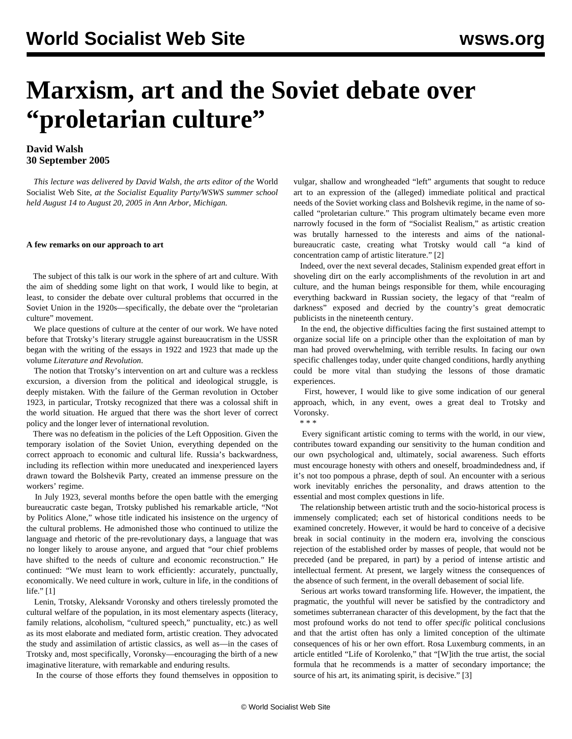# **Marxism, art and the Soviet debate over "proletarian culture"**

### **David Walsh 30 September 2005**

 *This lecture was delivered by David Walsh, the arts editor of the* World Socialist Web Site, *at the Socialist Equality Party/WSWS summer school held August 14 to August 20, 2005 in Ann Arbor, Michigan.*

#### **A few remarks on our approach to art**

 The subject of this talk is our work in the sphere of art and culture. With the aim of shedding some light on that work, I would like to begin, at least, to consider the debate over cultural problems that occurred in the Soviet Union in the 1920s—specifically, the debate over the "proletarian culture" movement.

 We place questions of culture at the center of our work. We have noted before that Trotsky's literary struggle against bureaucratism in the USSR began with the writing of the essays in 1922 and 1923 that made up the volume *Literature and Revolution*.

 The notion that Trotsky's intervention on art and culture was a reckless excursion, a diversion from the political and ideological struggle, is deeply mistaken. With the failure of the German revolution in October 1923, in particular, Trotsky recognized that there was a colossal shift in the world situation. He argued that there was the short lever of correct policy and the longer lever of international revolution.

 There was no defeatism in the policies of the Left Opposition. Given the temporary isolation of the Soviet Union, everything depended on the correct approach to economic and cultural life. Russia's backwardness, including its reflection within more uneducated and inexperienced layers drawn toward the Bolshevik Party, created an immense pressure on the workers' regime.

 In July 1923, several months before the open battle with the emerging bureaucratic caste began, Trotsky published his remarkable article, "Not by Politics Alone," whose title indicated his insistence on the urgency of the cultural problems. He admonished those who continued to utilize the language and rhetoric of the pre-revolutionary days, a language that was no longer likely to arouse anyone, and argued that "our chief problems have shifted to the needs of culture and economic reconstruction." He continued: "We must learn to work efficiently: accurately, punctually, economically. We need culture in work, culture in life, in the conditions of life." [1]

 Lenin, Trotsky, Aleksandr Voronsky and others tirelessly promoted the cultural welfare of the population, in its most elementary aspects (literacy, family relations, alcoholism, "cultured speech," punctuality, etc.) as well as its most elaborate and mediated form, artistic creation. They advocated the study and assimilation of artistic classics, as well as—in the cases of Trotsky and, most specifically, Voronsky—encouraging the birth of a new imaginative literature, with remarkable and enduring results.

In the course of those efforts they found themselves in opposition to

vulgar, shallow and wrongheaded "left" arguments that sought to reduce art to an expression of the (alleged) immediate political and practical needs of the Soviet working class and Bolshevik regime, in the name of socalled "proletarian culture." This program ultimately became even more narrowly focused in the form of "Socialist Realism," as artistic creation was brutally harnessed to the interests and aims of the nationalbureaucratic caste, creating what Trotsky would call "a kind of concentration camp of artistic literature." [2]

 Indeed, over the next several decades, Stalinism expended great effort in shoveling dirt on the early accomplishments of the revolution in art and culture, and the human beings responsible for them, while encouraging everything backward in Russian society, the legacy of that "realm of darkness" exposed and decried by the country's great democratic publicists in the nineteenth century.

 In the end, the objective difficulties facing the first sustained attempt to organize social life on a principle other than the exploitation of man by man had proved overwhelming, with terrible results. In facing our own specific challenges today, under quite changed conditions, hardly anything could be more vital than studying the lessons of those dramatic experiences.

 First, however, I would like to give some indication of our general approach, which, in any event, owes a great deal to Trotsky and Voronsky.

\* \* \*

 Every significant artistic coming to terms with the world, in our view, contributes toward expanding our sensitivity to the human condition and our own psychological and, ultimately, social awareness. Such efforts must encourage honesty with others and oneself, broadmindedness and, if it's not too pompous a phrase, depth of soul. An encounter with a serious work inevitably enriches the personality, and draws attention to the essential and most complex questions in life.

 The relationship between artistic truth and the socio-historical process is immensely complicated; each set of historical conditions needs to be examined concretely. However, it would be hard to conceive of a decisive break in social continuity in the modern era, involving the conscious rejection of the established order by masses of people, that would not be preceded (and be prepared, in part) by a period of intense artistic and intellectual ferment. At present, we largely witness the consequences of the absence of such ferment, in the overall debasement of social life.

 Serious art works toward transforming life. However, the impatient, the pragmatic, the youthful will never be satisfied by the contradictory and sometimes subterranean character of this development, by the fact that the most profound works do not tend to offer *specific* political conclusions and that the artist often has only a limited conception of the ultimate consequences of his or her own effort. Rosa Luxemburg comments, in an article entitled "Life of Korolenko," that "[W]ith the true artist, the social formula that he recommends is a matter of secondary importance; the source of his art, its animating spirit, is decisive." [3]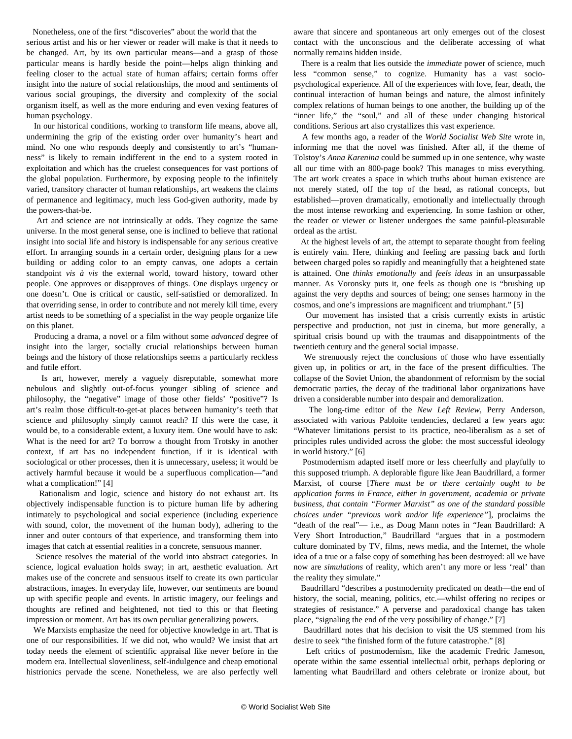Nonetheless, one of the first "discoveries" about the world that the

serious artist and his or her viewer or reader will make is that it needs to be changed. Art, by its own particular means—and a grasp of those particular means is hardly beside the point—helps align thinking and feeling closer to the actual state of human affairs; certain forms offer insight into the nature of social relationships, the mood and sentiments of various social groupings, the diversity and complexity of the social organism itself, as well as the more enduring and even vexing features of human psychology.

 In our historical conditions, working to transform life means, above all, undermining the grip of the existing order over humanity's heart and mind. No one who responds deeply and consistently to art's "humanness" is likely to remain indifferent in the end to a system rooted in exploitation and which has the cruelest consequences for vast portions of the global population. Furthermore, by exposing people to the infinitely varied, transitory character of human relationships, art weakens the claims of permanence and legitimacy, much less God-given authority, made by the powers-that-be.

 Art and science are not intrinsically at odds. They cognize the same universe. In the most general sense, one is inclined to believe that rational insight into social life and history is indispensable for any serious creative effort. In arranging sounds in a certain order, designing plans for a new building or adding color to an empty canvas, one adopts a certain standpoint *vis à vis* the external world, toward history, toward other people. One approves or disapproves of things. One displays urgency or one doesn't. One is critical or caustic, self-satisfied or demoralized. In that overriding sense, in order to contribute and not merely kill time, every artist needs to be something of a specialist in the way people organize life on this planet.

 Producing a drama, a novel or a film without some *advanced* degree of insight into the larger, socially crucial relationships between human beings and the history of those relationships seems a particularly reckless and futile effort.

 Is art, however, merely a vaguely disreputable, somewhat more nebulous and slightly out-of-focus younger sibling of science and philosophy, the "negative" image of those other fields' "positive"? Is art's realm those difficult-to-get-at places between humanity's teeth that science and philosophy simply cannot reach? If this were the case, it would be, to a considerable extent, a luxury item. One would have to ask: What is the need for art? To borrow a thought from Trotsky in another context, if art has no independent function, if it is identical with sociological or other processes, then it is unnecessary, useless; it would be actively harmful because it would be a superfluous complication—"and what a complication!" [4]

 Rationalism and logic, science and history do not exhaust art. Its objectively indispensable function is to picture human life by adhering intimately to psychological and social experience (including experience with sound, color, the movement of the human body), adhering to the inner and outer contours of that experience, and transforming them into images that catch at essential realities in a concrete, sensuous manner.

 Science resolves the material of the world into abstract categories. In science, logical evaluation holds sway; in art, aesthetic evaluation. Art makes use of the concrete and sensuous itself to create its own particular abstractions, images. In everyday life, however, our sentiments are bound up with specific people and events. In artistic imagery, our feelings and thoughts are refined and heightened, not tied to this or that fleeting impression or moment. Art has its own peculiar generalizing powers.

 We Marxists emphasize the need for objective knowledge in art. That is one of our responsibilities. If we did not, who would? We insist that art today needs the element of scientific appraisal like never before in the modern era. Intellectual slovenliness, self-indulgence and cheap emotional histrionics pervade the scene. Nonetheless, we are also perfectly well aware that sincere and spontaneous art only emerges out of the closest contact with the unconscious and the deliberate accessing of what normally remains hidden inside.

 There is a realm that lies outside the *immediate* power of science, much less "common sense," to cognize. Humanity has a vast sociopsychological experience. All of the experiences with love, fear, death, the continual interaction of human beings and nature, the almost infinitely complex relations of human beings to one another, the building up of the "inner life," the "soul," and all of these under changing historical conditions. Serious art also crystallizes this vast experience.

 A few months ago, a reader of the *World Socialist Web Site* wrote in, informing me that the novel was finished. After all, if the theme of Tolstoy's *Anna Karenina* could be summed up in one sentence, why waste all our time with an 800-page book? This manages to miss everything. The art work creates a space in which truths about human existence are not merely stated, off the top of the head, as rational concepts, but established—proven dramatically, emotionally and intellectually through the most intense reworking and experiencing. In some fashion or other, the reader or viewer or listener undergoes the same painful-pleasurable ordeal as the artist.

 At the highest levels of art, the attempt to separate thought from feeling is entirely vain. Here, thinking and feeling are passing back and forth between charged poles so rapidly and meaningfully that a heightened state is attained. One *thinks emotionally* and *feels ideas* in an unsurpassable manner. As Voronsky puts it, one feels as though one is "brushing up against the very depths and sources of being; one senses harmony in the cosmos, and one's impressions are magnificent and triumphant." [5]

 Our movement has insisted that a crisis currently exists in artistic perspective and production, not just in cinema, but more generally, a spiritual crisis bound up with the traumas and disappointments of the twentieth century and the general social impasse.

 We strenuously reject the conclusions of those who have essentially given up, in politics or art, in the face of the present difficulties. The collapse of the Soviet Union, the abandonment of reformism by the social democratic parties, the decay of the traditional labor organizations have driven a considerable number into despair and demoralization.

 The long-time editor of the *New Left Review*, Perry Anderson, associated with various Pabloite tendencies, declared a few years ago: "Whatever limitations persist to its practice, neo-liberalism as a set of principles rules undivided across the globe: the most successful ideology in world history." [6]

 Postmodernism adapted itself more or less cheerfully and playfully to this supposed triumph. A deplorable figure like Jean Baudrillard, a former Marxist, of course [*There must be or there certainly ought to be application forms in France, either in government, academia or private business, that contain "Former Marxist" as one of the standard possible choices under "previous work and/or life experience"*], proclaims the "death of the real"— i.e., as Doug Mann notes in "Jean Baudrillard: A Very Short Introduction," Baudrillard "argues that in a postmodern culture dominated by TV, films, news media, and the Internet, the whole idea of a true or a false copy of something has been destroyed: all we have now are *simulations* of reality, which aren't any more or less 'real' than the reality they simulate."

 Baudrillard "describes a postmodernity predicated on death—the end of history, the social, meaning, politics, etc.—whilst offering no recipes or strategies of resistance." A perverse and paradoxical change has taken place, "signaling the end of the very possibility of change." [7]

 Baudrillard notes that his decision to visit the US stemmed from his desire to seek "the finished form of the future catastrophe." [8]

 Left critics of postmodernism, like the academic Fredric Jameson, operate within the same essential intellectual orbit, perhaps deploring or lamenting what Baudrillard and others celebrate or ironize about, but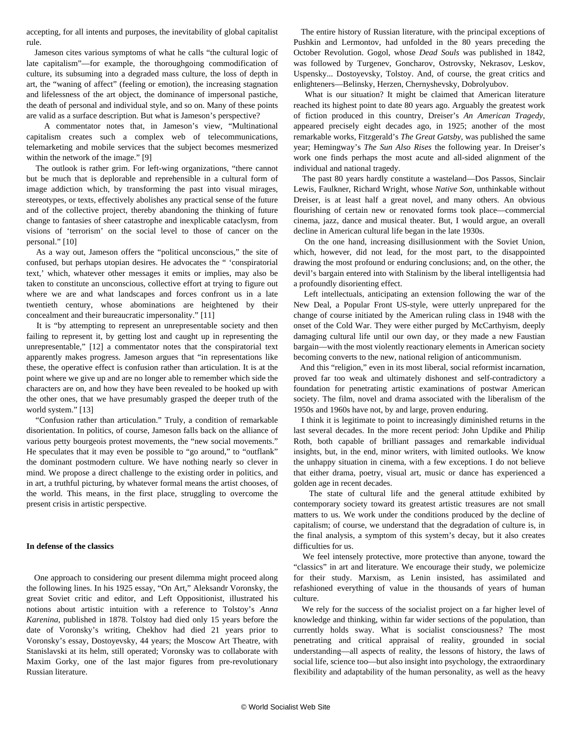accepting, for all intents and purposes, the inevitability of global capitalist rule.

 Jameson cites various symptoms of what he calls "the cultural logic of late capitalism"—for example, the thoroughgoing commodification of culture, its subsuming into a degraded mass culture, the loss of depth in art, the "waning of affect" (feeling or emotion), the increasing stagnation and lifelessness of the art object, the dominance of impersonal pastiche, the death of personal and individual style, and so on. Many of these points are valid as a surface description. But what is Jameson's perspective?

 A commentator notes that, in Jameson's view, "Multinational capitalism creates such a complex web of telecommunications, telemarketing and mobile services that the subject becomes mesmerized within the network of the image." [9]

 The outlook is rather grim. For left-wing organizations, "there cannot but be much that is deplorable and reprehensible in a cultural form of image addiction which, by transforming the past into visual mirages, stereotypes, or texts, effectively abolishes any practical sense of the future and of the collective project, thereby abandoning the thinking of future change to fantasies of sheer catastrophe and inexplicable cataclysm, from visions of 'terrorism' on the social level to those of cancer on the personal." [10]

 As a way out, Jameson offers the "political unconscious," the site of confused, but perhaps utopian desires. He advocates the " 'conspiratorial text,' which, whatever other messages it emits or implies, may also be taken to constitute an unconscious, collective effort at trying to figure out where we are and what landscapes and forces confront us in a late twentieth century, whose abominations are heightened by their concealment and their bureaucratic impersonality." [11]

 It is "by attempting to represent an unrepresentable society and then failing to represent it, by getting lost and caught up in representing the unrepresentable," [12] a commentator notes that the conspiratorial text apparently makes progress. Jameson argues that "in representations like these, the operative effect is confusion rather than articulation. It is at the point where we give up and are no longer able to remember which side the characters are on, and how they have been revealed to be hooked up with the other ones, that we have presumably grasped the deeper truth of the world system." [13]

 "Confusion rather than articulation." Truly, a condition of remarkable disorientation. In politics, of course, Jameson falls back on the alliance of various petty bourgeois protest movements, the "new social movements." He speculates that it may even be possible to "go around," to "outflank" the dominant postmodern culture. We have nothing nearly so clever in mind. We propose a direct challenge to the existing order in politics, and in art, a truthful picturing, by whatever formal means the artist chooses, of the world. This means, in the first place, struggling to overcome the present crisis in artistic perspective.

#### **In defense of the classics**

 One approach to considering our present dilemma might proceed along the following lines. In his 1925 essay, "On Art," Aleksandr Voronsky, the great Soviet critic and editor, and Left Oppositionist, illustrated his notions about artistic intuition with a reference to Tolstoy's *Anna Karenina*, published in 1878. Tolstoy had died only 15 years before the date of Voronsky's writing, Chekhov had died 21 years prior to Voronsky's essay, Dostoyevsky, 44 years; the Moscow Art Theatre, with Stanislavski at its helm, still operated; Voronsky was to collaborate with Maxim Gorky, one of the last major figures from pre-revolutionary Russian literature.

 The entire history of Russian literature, with the principal exceptions of Pushkin and Lermontov, had unfolded in the 80 years preceding the October Revolution. Gogol, whose *Dead Souls* was published in 1842, was followed by Turgenev, Goncharov, Ostrovsky, Nekrasov, Leskov, Uspensky... Dostoyevsky, Tolstoy. And, of course, the great critics and enlighteners—Belinsky, Herzen, Chernyshevsky, Dobrolyubov.

 What is our situation? It might be claimed that American literature reached its highest point to date 80 years ago. Arguably the greatest work of fiction produced in this country, Dreiser's *An American Tragedy*, appeared precisely eight decades ago, in 1925; another of the most remarkable works, Fitzgerald's *The Great Gatsby*, was published the same year; Hemingway's *The Sun Also Rises* the following year. In Dreiser's work one finds perhaps the most acute and all-sided alignment of the individual and national tragedy.

 The past 80 years hardly constitute a wasteland—Dos Passos, Sinclair Lewis, Faulkner, Richard Wright, whose *Native Son*, unthinkable without Dreiser, is at least half a great novel, and many others. An obvious flourishing of certain new or renovated forms took place—commercial cinema, jazz, dance and musical theater. But, I would argue, an overall decline in American cultural life began in the late 1930s.

 On the one hand, increasing disillusionment with the Soviet Union, which, however, did not lead, for the most part, to the disappointed drawing the most profound or enduring conclusions; and, on the other, the devil's bargain entered into with Stalinism by the liberal intelligentsia had a profoundly disorienting effect.

 Left intellectuals, anticipating an extension following the war of the New Deal, a Popular Front US-style, were utterly unprepared for the change of course initiated by the American ruling class in 1948 with the onset of the Cold War. They were either purged by McCarthyism, deeply damaging cultural life until our own day, or they made a new Faustian bargain—with the most violently reactionary elements in American society becoming converts to the new, national religion of anticommunism.

 And this "religion," even in its most liberal, social reformist incarnation, proved far too weak and ultimately dishonest and self-contradictory a foundation for penetrating artistic examinations of postwar American society. The film, novel and drama associated with the liberalism of the 1950s and 1960s have not, by and large, proven enduring.

 I think it is legitimate to point to increasingly diminished returns in the last several decades. In the more recent period: John Updike and Philip Roth, both capable of brilliant passages and remarkable individual insights, but, in the end, minor writers, with limited outlooks. We know the unhappy situation in cinema, with a few exceptions. I do not believe that either drama, poetry, visual art, music or dance has experienced a golden age in recent decades.

 The state of cultural life and the general attitude exhibited by contemporary society toward its greatest artistic treasures are not small matters to us. We work under the conditions produced by the decline of capitalism; of course, we understand that the degradation of culture is, in the final analysis, a symptom of this system's decay, but it also creates difficulties for us.

 We feel intensely protective, more protective than anyone, toward the "classics" in art and literature. We encourage their study, we polemicize for their study. Marxism, as Lenin insisted, has assimilated and refashioned everything of value in the thousands of years of human culture.

 We rely for the success of the socialist project on a far higher level of knowledge and thinking, within far wider sections of the population, than currently holds sway. What is socialist consciousness? The most penetrating and critical appraisal of reality, grounded in social understanding—all aspects of reality, the lessons of history, the laws of social life, science too—but also insight into psychology, the extraordinary flexibility and adaptability of the human personality, as well as the heavy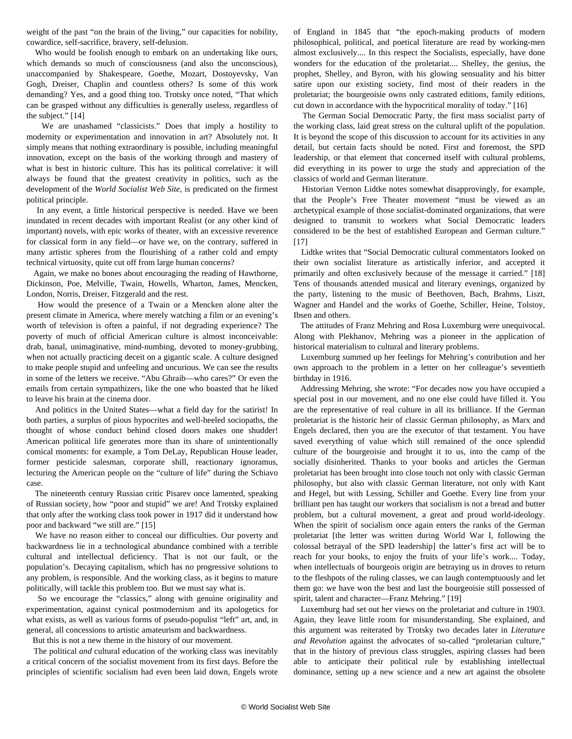weight of the past "on the brain of the living," our capacities for nobility, cowardice, self-sacrifice, bravery, self-delusion.

 Who would be foolish enough to embark on an undertaking like ours, which demands so much of consciousness (and also the unconscious), unaccompanied by Shakespeare, Goethe, Mozart, Dostoyevsky, Van Gogh, Dreiser, Chaplin and countless others? Is some of this work demanding? Yes, and a good thing too. Trotsky once noted, "That which can be grasped without any difficulties is generally useless, regardless of the subject." [14]

 We are unashamed "classicists." Does that imply a hostility to modernity or experimentation and innovation in art? Absolutely not. It simply means that nothing extraordinary is possible, including meaningful innovation, except on the basis of the working through and mastery of what is best in historic culture. This has its political correlative: it will always be found that the greatest creativity in politics, such as the development of the *World Socialist Web Site*, is predicated on the firmest political principle.

 In any event, a little historical perspective is needed. Have we been inundated in recent decades with important Realist (or any other kind of important) novels, with epic works of theater, with an excessive reverence for classical form in any field—or have we, on the contrary, suffered in many artistic spheres from the flourishing of a rather cold and empty technical virtuosity, quite cut off from large human concerns?

 Again, we make no bones about encouraging the reading of Hawthorne, Dickinson, Poe, Melville, Twain, Howells, Wharton, James, Mencken, London, Norris, Dreiser, Fitzgerald and the rest.

 How would the presence of a Twain or a Mencken alone alter the present climate in America, where merely watching a film or an evening's worth of television is often a painful, if not degrading experience? The poverty of much of official American culture is almost inconceivable: drab, banal, unimaginative, mind-numbing, devoted to money-grubbing, when not actually practicing deceit on a gigantic scale. A culture designed to make people stupid and unfeeling and uncurious. We can see the results in some of the letters we receive. "Abu Ghraib—who cares?" Or even the emails from certain sympathizers, like the one who boasted that he liked to leave his brain at the cinema door.

 And politics in the United States—what a field day for the satirist! In both parties, a surplus of pious hypocrites and well-heeled sociopaths, the thought of whose conduct behind closed doors makes one shudder! American political life generates more than its share of unintentionally comical moments: for example, a Tom DeLay, Republican House leader, former pesticide salesman, corporate shill, reactionary ignoramus, lecturing the American people on the "culture of life" during the Schiavo case.

 The nineteenth century Russian critic Pisarev once lamented, speaking of Russian society, how "poor and stupid" we are! And Trotsky explained that only after the working class took power in 1917 did it understand how poor and backward "we still are." [15]

 We have no reason either to conceal our difficulties. Our poverty and backwardness lie in a technological abundance combined with a terrible cultural and intellectual deficiency. That is not our fault, or the population's. Decaying capitalism, which has no progressive solutions to any problem, is responsible. And the working class, as it begins to mature politically, will tackle this problem too. But we must say what is.

 So we encourage the "classics," along with genuine originality and experimentation, against cynical postmodernism and its apologetics for what exists, as well as various forms of pseudo-populist "left" art, and, in general, all concessions to artistic amateurism and backwardness.

But this is not a new theme in the history of our movement.

 The political *and* cultural education of the working class was inevitably a critical concern of the socialist movement from its first days. Before the principles of scientific socialism had even been laid down, Engels wrote of England in 1845 that "the epoch-making products of modern philosophical, political, and poetical literature are read by working-men almost exclusively.... In this respect the Socialists, especially, have done wonders for the education of the proletariat.... Shelley, the genius, the prophet, Shelley, and Byron, with his glowing sensuality and his bitter satire upon our existing society, find most of their readers in the proletariat; the bourgeoisie owns only castrated editions, family editions, cut down in accordance with the hypocritical morality of today." [16]

 The German Social Democratic Party, the first mass socialist party of the working class, laid great stress on the cultural uplift of the population. It is beyond the scope of this discussion to account for its activities in any detail, but certain facts should be noted. First and foremost, the SPD leadership, or that element that concerned itself with cultural problems, did everything in its power to urge the study and appreciation of the classics of world and German literature.

 Historian Vernon Lidtke notes somewhat disapprovingly, for example, that the People's Free Theater movement "must be viewed as an archetypical example of those socialist-dominated organizations, that were designed to transmit to workers what Social Democratic leaders considered to be the best of established European and German culture." [17]

 Lidtke writes that "Social Democratic cultural commentators looked on their own socialist literature as artistically inferior, and accepted it primarily and often exclusively because of the message it carried." [18] Tens of thousands attended musical and literary evenings, organized by the party, listening to the music of Beethoven, Bach, Brahms, Liszt, Wagner and Handel and the works of Goethe, Schiller, Heine, Tolstoy, Ibsen and others.

 The attitudes of Franz Mehring and Rosa Luxemburg were unequivocal. Along with Plekhanov, Mehring was a pioneer in the application of historical materialism to cultural and literary problems.

 Luxemburg summed up her feelings for Mehring's contribution and her own approach to the problem in a letter on her colleague's seventieth birthday in 1916.

 Addressing Mehring, she wrote: "For decades now you have occupied a special post in our movement, and no one else could have filled it. You are the representative of real culture in all its brilliance. If the German proletariat is the historic heir of classic German philosophy, as Marx and Engels declared, then you are the executor of that testament. You have saved everything of value which still remained of the once splendid culture of the bourgeoisie and brought it to us, into the camp of the socially disinherited. Thanks to your books and articles the German proletariat has been brought into close touch not only with classic German philosophy, but also with classic German literature, not only with Kant and Hegel, but with Lessing, Schiller and Goethe. Every line from your brilliant pen has taught our workers that socialism is not a bread and butter problem, but a cultural movement, a great and proud world-ideology. When the spirit of socialism once again enters the ranks of the German proletariat [the letter was written during World War I, following the colossal betrayal of the SPD leadership] the latter's first act will be to reach for your books, to enjoy the fruits of your life's work.... Today, when intellectuals of bourgeois origin are betraying us in droves to return to the fleshpots of the ruling classes, we can laugh contemptuously and let them go: we have won the best and last the bourgeoisie still possessed of spirit, talent and character—Franz Mehring." [19]

 Luxemburg had set out her views on the proletariat and culture in 1903. Again, they leave little room for misunderstanding. She explained, and this argument was reiterated by Trotsky two decades later in *Literature and Revolution* against the advocates of so-called "proletarian culture," that in the history of previous class struggles, aspiring classes had been able to anticipate their political rule by establishing intellectual dominance, setting up a new science and a new art against the obsolete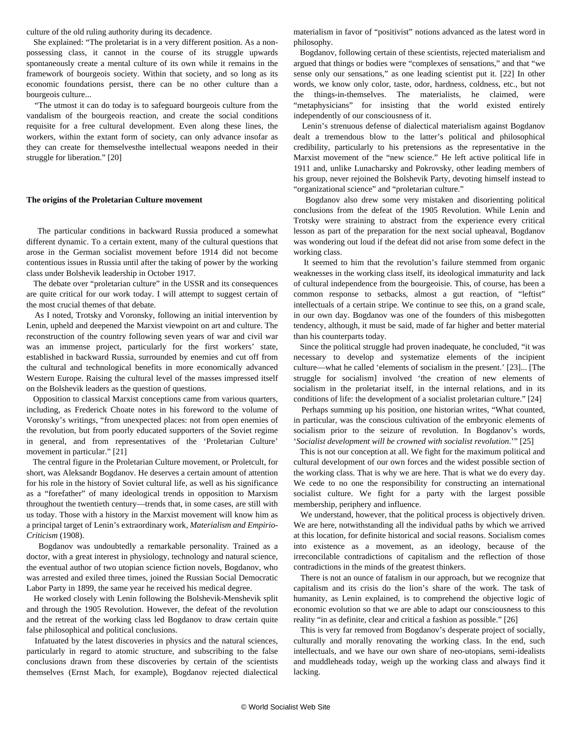culture of the old ruling authority during its decadence.

 She explained: "The proletariat is in a very different position. As a nonpossessing class, it cannot in the course of its struggle upwards spontaneously create a mental culture of its own while it remains in the framework of bourgeois society. Within that society, and so long as its economic foundations persist, there can be no other culture than a bourgeois culture...

 "The utmost it can do today is to safeguard bourgeois culture from the vandalism of the bourgeois reaction, and create the social conditions requisite for a free cultural development. Even along these lines, the workers, within the extant form of society, can only advance insofar as they can create for themselvesthe intellectual weapons needed in their struggle for liberation." [20]

#### **The origins of the Proletarian Culture movement**

 The particular conditions in backward Russia produced a somewhat different dynamic. To a certain extent, many of the cultural questions that arose in the German socialist movement before 1914 did not become contentious issues in Russia until after the taking of power by the working class under Bolshevik leadership in October 1917.

 The debate over "proletarian culture" in the USSR and its consequences are quite critical for our work today. I will attempt to suggest certain of the most crucial themes of that debate.

 As I noted, Trotsky and Voronsky, following an initial intervention by Lenin, upheld and deepened the Marxist viewpoint on art and culture. The reconstruction of the country following seven years of war and civil war was an immense project, particularly for the first workers' state, established in backward Russia, surrounded by enemies and cut off from the cultural and technological benefits in more economically advanced Western Europe. Raising the cultural level of the masses impressed itself on the Bolshevik leaders as the question of questions.

 Opposition to classical Marxist conceptions came from various quarters, including, as Frederick Choate notes in his foreword to the volume of Voronsky's writings, "from unexpected places: not from open enemies of the revolution, but from poorly educated supporters of the Soviet regime in general, and from representatives of the 'Proletarian Culture' movement in particular." [21]

 The central figure in the Proletarian Culture movement, or Proletcult, for short, was Aleksandr Bogdanov. He deserves a certain amount of attention for his role in the history of Soviet cultural life, as well as his significance as a "forefather" of many ideological trends in opposition to Marxism throughout the twentieth century—trends that, in some cases, are still with us today. Those with a history in the Marxist movement will know him as a principal target of Lenin's extraordinary work, *Materialism and Empirio-Criticism* (1908).

 Bogdanov was undoubtedly a remarkable personality. Trained as a doctor, with a great interest in physiology, technology and natural science, the eventual author of two utopian science fiction novels, Bogdanov, who was arrested and exiled three times, joined the Russian Social Democratic Labor Party in 1899, the same year he received his medical degree.

 He worked closely with Lenin following the Bolshevik-Menshevik split and through the 1905 Revolution. However, the defeat of the revolution and the retreat of the working class led Bogdanov to draw certain quite false philosophical and political conclusions.

 Infatuated by the latest discoveries in physics and the natural sciences, particularly in regard to atomic structure, and subscribing to the false conclusions drawn from these discoveries by certain of the scientists themselves (Ernst Mach, for example), Bogdanov rejected dialectical

materialism in favor of "positivist" notions advanced as the latest word in philosophy.

 Bogdanov, following certain of these scientists, rejected materialism and argued that things or bodies were "complexes of sensations," and that "we sense only our sensations," as one leading scientist put it. [22] In other words, we know only color, taste, odor, hardness, coldness, etc., but not the things-in-themselves. The materialists, he claimed, were "metaphysicians" for insisting that the world existed entirely independently of our consciousness of it.

 Lenin's strenuous defense of dialectical materialism against Bogdanov dealt a tremendous blow to the latter's political and philosophical credibility, particularly to his pretensions as the representative in the Marxist movement of the "new science." He left active political life in 1911 and, unlike Lunacharsky and Pokrovsky, other leading members of his group, never rejoined the Bolshevik Party, devoting himself instead to "organizational science" and "proletarian culture."

 Bogdanov also drew some very mistaken and disorienting political conclusions from the defeat of the 1905 Revolution. While Lenin and Trotsky were straining to abstract from the experience every critical lesson as part of the preparation for the next social upheaval, Bogdanov was wondering out loud if the defeat did not arise from some defect in the working class.

 It seemed to him that the revolution's failure stemmed from organic weaknesses in the working class itself, its ideological immaturity and lack of cultural independence from the bourgeoisie. This, of course, has been a common response to setbacks, almost a gut reaction, of "leftist" intellectuals of a certain stripe. We continue to see this, on a grand scale, in our own day. Bogdanov was one of the founders of this misbegotten tendency, although, it must be said, made of far higher and better material than his counterparts today.

 Since the political struggle had proven inadequate, he concluded, "it was necessary to develop and systematize elements of the incipient culture—what he called 'elements of socialism in the present.' [23]... [The struggle for socialism] involved 'the creation of new elements of socialism in the proletariat itself, in the internal relations, and in its conditions of life: the development of a socialist proletarian culture." [24]

 Perhaps summing up his position, one historian writes, "What counted, in particular, was the conscious cultivation of the embryonic elements of socialism prior to the seizure of revolution. In Bogdanov's words, '*Socialist development will be crowned with socialist revolution*.'" [25]

 This is not our conception at all. We fight for the maximum political and cultural development of our own forces and the widest possible section of the working class. That is why we are here. That is what we do every day. We cede to no one the responsibility for constructing an international socialist culture. We fight for a party with the largest possible membership, periphery and influence.

 We understand, however, that the political process is objectively driven. We are here, notwithstanding all the individual paths by which we arrived at this location, for definite historical and social reasons. Socialism comes into existence as a movement, as an ideology, because of the irreconcilable contradictions of capitalism and the reflection of those contradictions in the minds of the greatest thinkers.

 There is not an ounce of fatalism in our approach, but we recognize that capitalism and its crisis do the lion's share of the work. The task of humanity, as Lenin explained, is to comprehend the objective logic of economic evolution so that we are able to adapt our consciousness to this reality "in as definite, clear and critical a fashion as possible." [26]

 This is very far removed from Bogdanov's desperate project of socially, culturally and morally renovating the working class. In the end, such intellectuals, and we have our own share of neo-utopians, semi-idealists and muddleheads today, weigh up the working class and always find it lacking.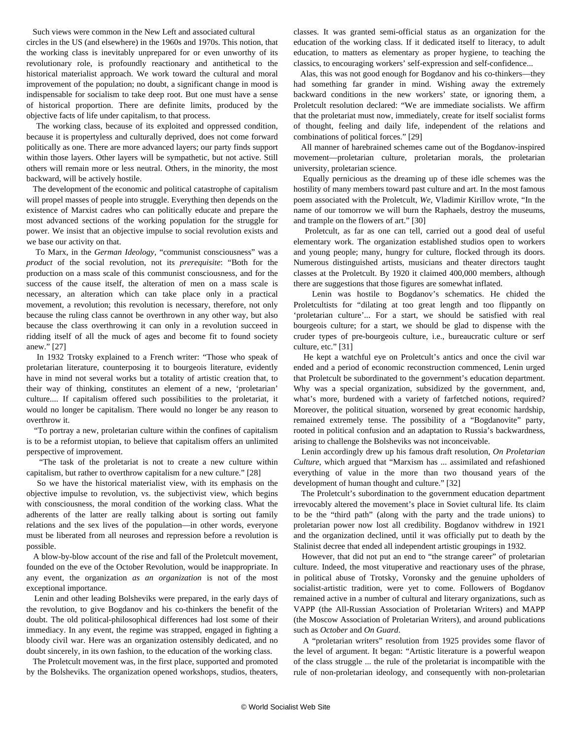Such views were common in the New Left and associated cultural circles in the US (and elsewhere) in the 1960s and 1970s. This notion, that the working class is inevitably unprepared for or even unworthy of its revolutionary role, is profoundly reactionary and antithetical to the historical materialist approach. We work toward the cultural and moral improvement of the population; no doubt, a significant change in mood is indispensable for socialism to take deep root. But one must have a sense of historical proportion. There are definite limits, produced by the objective facts of life under capitalism, to that process.

 The working class, because of its exploited and oppressed condition, because it is propertyless and culturally deprived, does not come forward politically as one. There are more advanced layers; our party finds support within those layers. Other layers will be sympathetic, but not active. Still others will remain more or less neutral. Others, in the minority, the most backward, will be actively hostile.

 The development of the economic and political catastrophe of capitalism will propel masses of people into struggle. Everything then depends on the existence of Marxist cadres who can politically educate and prepare the most advanced sections of the working population for the struggle for power. We insist that an objective impulse to social revolution exists and we base our activity on that.

 To Marx, in the *German Ideology*, "communist consciousness" was a *product* of the social revolution, not its *prerequisite*: "Both for the production on a mass scale of this communist consciousness, and for the success of the cause itself, the alteration of men on a mass scale is necessary, an alteration which can take place only in a practical movement, a revolution; this revolution is necessary, therefore, not only because the ruling class cannot be overthrown in any other way, but also because the class overthrowing it can only in a revolution succeed in ridding itself of all the muck of ages and become fit to found society anew." [27]

 In 1932 Trotsky explained to a French writer: "Those who speak of proletarian literature, counterposing it to bourgeois literature, evidently have in mind not several works but a totality of artistic creation that, to their way of thinking, constitutes an element of a new, 'proletarian' culture.... If capitalism offered such possibilities to the proletariat, it would no longer be capitalism. There would no longer be any reason to overthrow it.

 "To portray a new, proletarian culture within the confines of capitalism is to be a reformist utopian, to believe that capitalism offers an unlimited perspective of improvement.

 "The task of the proletariat is not to create a new culture within capitalism, but rather to overthrow capitalism for a new culture." [28]

 So we have the historical materialist view, with its emphasis on the objective impulse to revolution, vs. the subjectivist view, which begins with consciousness, the moral condition of the working class. What the adherents of the latter are really talking about is sorting out family relations and the sex lives of the population—in other words, everyone must be liberated from all neuroses and repression before a revolution is possible.

 A blow-by-blow account of the rise and fall of the Proletcult movement, founded on the eve of the October Revolution, would be inappropriate. In any event, the organization *as an organization* is not of the most exceptional importance.

 Lenin and other leading Bolsheviks were prepared, in the early days of the revolution, to give Bogdanov and his co-thinkers the benefit of the doubt. The old political-philosophical differences had lost some of their immediacy. In any event, the regime was strapped, engaged in fighting a bloody civil war. Here was an organization ostensibly dedicated, and no doubt sincerely, in its own fashion, to the education of the working class.

 The Proletcult movement was, in the first place, supported and promoted by the Bolsheviks. The organization opened workshops, studios, theaters,

classes. It was granted semi-official status as an organization for the education of the working class. If it dedicated itself to literacy, to adult education, to matters as elementary as proper hygiene, to teaching the classics, to encouraging workers' self-expression and self-confidence...

 Alas, this was not good enough for Bogdanov and his co-thinkers—they had something far grander in mind. Wishing away the extremely backward conditions in the new workers' state, or ignoring them, a Proletcult resolution declared: "We are immediate socialists. We affirm that the proletariat must now, immediately, create for itself socialist forms of thought, feeling and daily life, independent of the relations and combinations of political forces." [29]

 All manner of harebrained schemes came out of the Bogdanov-inspired movement—proletarian culture, proletarian morals, the proletarian university, proletarian science.

 Equally pernicious as the dreaming up of these idle schemes was the hostility of many members toward past culture and art. In the most famous poem associated with the Proletcult, *We*, Vladimir Kirillov wrote, "In the name of our tomorrow we will burn the Raphaels, destroy the museums, and trample on the flowers of art." [30]

 Proletcult, as far as one can tell, carried out a good deal of useful elementary work. The organization established studios open to workers and young people; many, hungry for culture, flocked through its doors. Numerous distinguished artists, musicians and theater directors taught classes at the Proletcult. By 1920 it claimed 400,000 members, although there are suggestions that those figures are somewhat inflated.

 Lenin was hostile to Bogdanov's schematics. He chided the Proletcultists for "dilating at too great length and too flippantly on 'proletarian culture'... For a start, we should be satisfied with real bourgeois culture; for a start, we should be glad to dispense with the cruder types of pre-bourgeois culture, i.e., bureaucratic culture or serf culture, etc." [31]

 He kept a watchful eye on Proletcult's antics and once the civil war ended and a period of economic reconstruction commenced, Lenin urged that Proletcult be subordinated to the government's education department. Why was a special organization, subsidized by the government, and, what's more, burdened with a variety of farfetched notions, required? Moreover, the political situation, worsened by great economic hardship, remained extremely tense. The possibility of a "Bogdanovite" party, rooted in political confusion and an adaptation to Russia's backwardness, arising to challenge the Bolsheviks was not inconceivable.

 Lenin accordingly drew up his famous draft resolution, *On Proletarian Culture*, which argued that "Marxism has ... assimilated and refashioned everything of value in the more than two thousand years of the development of human thought and culture." [32]

 The Proletcult's subordination to the government education department irrevocably altered the movement's place in Soviet cultural life. Its claim to be the "third path" (along with the party and the trade unions) to proletarian power now lost all credibility. Bogdanov withdrew in 1921 and the organization declined, until it was officially put to death by the Stalinist decree that ended all independent artistic groupings in 1932.

 However, that did not put an end to "the strange career" of proletarian culture. Indeed, the most vituperative and reactionary uses of the phrase, in political abuse of Trotsky, Voronsky and the genuine upholders of socialist-artistic tradition, were yet to come. Followers of Bogdanov remained active in a number of cultural and literary organizations, such as VAPP (the All-Russian Association of Proletarian Writers) and MAPP (the Moscow Association of Proletarian Writers), and around publications such as *October* and *On Guard*.

 A "proletarian writers" resolution from 1925 provides some flavor of the level of argument. It began: "Artistic literature is a powerful weapon of the class struggle ... the rule of the proletariat is incompatible with the rule of non-proletarian ideology, and consequently with non-proletarian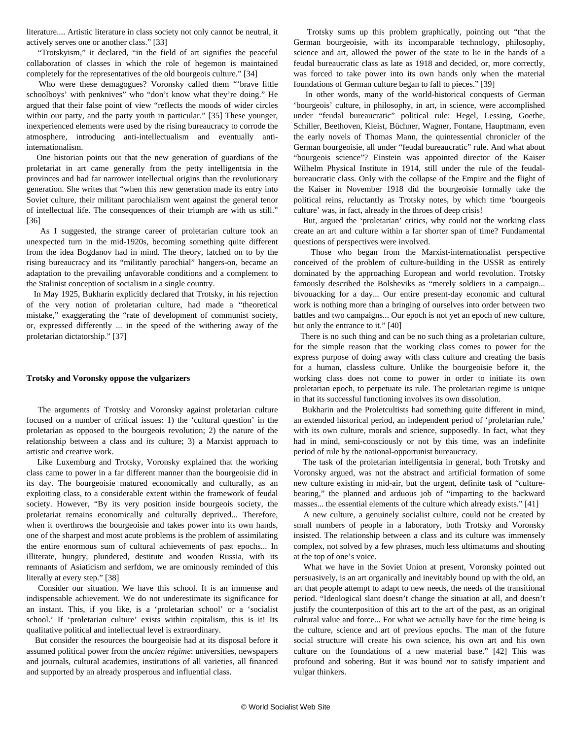literature.... Artistic literature in class society not only cannot be neutral, it actively serves one or another class." [33]

 "Trotskyism," it declared, "in the field of art signifies the peaceful collaboration of classes in which the role of hegemon is maintained completely for the representatives of the old bourgeois culture." [34]

 Who were these demagogues? Voronsky called them "'brave little schoolboys' with penknives" who "don't know what they're doing." He argued that their false point of view "reflects the moods of wider circles within our party, and the party youth in particular." [35] These younger, inexperienced elements were used by the rising bureaucracy to corrode the atmosphere, introducing anti-intellectualism and eventually antiinternationalism.

 One historian points out that the new generation of guardians of the proletariat in art came generally from the petty intelligentsia in the provinces and had far narrower intellectual origins than the revolutionary generation. She writes that "when this new generation made its entry into Soviet culture, their militant parochialism went against the general tenor of intellectual life. The consequences of their triumph are with us still." [36]

 As I suggested, the strange career of proletarian culture took an unexpected turn in the mid-1920s, becoming something quite different from the idea Bogdanov had in mind. The theory, latched on to by the rising bureaucracy and its "militantly parochial" hangers-on, became an adaptation to the prevailing unfavorable conditions and a complement to the Stalinist conception of socialism in a single country.

 In May 1925, Bukharin explicitly declared that Trotsky, in his rejection of the very notion of proletarian culture, had made a "theoretical mistake," exaggerating the "rate of development of communist society, or, expressed differently ... in the speed of the withering away of the proletarian dictatorship." [37]

#### **Trotsky and Voronsky oppose the vulgarizers**

 The arguments of Trotsky and Voronsky against proletarian culture focused on a number of critical issues: 1) the 'cultural question' in the proletarian as opposed to the bourgeois revolution; 2) the nature of the relationship between a class and *its* culture; 3) a Marxist approach to artistic and creative work.

 Like Luxemburg and Trotsky, Voronsky explained that the working class came to power in a far different manner than the bourgeoisie did in its day. The bourgeoisie matured economically and culturally, as an exploiting class, to a considerable extent within the framework of feudal society. However, "By its very position inside bourgeois society, the proletariat remains economically and culturally deprived... Therefore, when it overthrows the bourgeoisie and takes power into its own hands, one of the sharpest and most acute problems is the problem of assimilating the entire enormous sum of cultural achievements of past epochs... In illiterate, hungry, plundered, destitute and wooden Russia, with its remnants of Asiaticism and serfdom, we are ominously reminded of this literally at every step." [38]

 Consider our situation. We have this school. It is an immense and indispensable achievement. We do not underestimate its significance for an instant. This, if you like, is a 'proletarian school' or a 'socialist school.' If 'proletarian culture' exists within capitalism, this is it! Its qualitative political and intellectual level is extraordinary.

 But consider the resources the bourgeoisie had at its disposal before it assumed political power from the *ancien régime*: universities, newspapers and journals, cultural academies, institutions of all varieties, all financed and supported by an already prosperous and influential class.

 Trotsky sums up this problem graphically, pointing out "that the German bourgeoisie, with its incomparable technology, philosophy, science and art, allowed the power of the state to lie in the hands of a feudal bureaucratic class as late as 1918 and decided, or, more correctly, was forced to take power into its own hands only when the material foundations of German culture began to fall to pieces." [39]

 In other words, many of the world-historical conquests of German 'bourgeois' culture, in philosophy, in art, in science, were accomplished under "feudal bureaucratic" political rule: Hegel, Lessing, Goethe, Schiller, Beethoven, Kleist, Büchner, Wagner, Fontane, Hauptmann, even the early novels of Thomas Mann, the quintessential chronicler of the German bourgeoisie, all under "feudal bureaucratic" rule. And what about "bourgeois science"? Einstein was appointed director of the Kaiser Wilhelm Physical Institute in 1914, still under the rule of the feudalbureaucratic class. Only with the collapse of the Empire and the flight of the Kaiser in November 1918 did the bourgeoisie formally take the political reins, reluctantly as Trotsky notes, by which time 'bourgeois culture' was, in fact, already in the throes of deep crisis!

 But, argued the 'proletarian' critics, why could not the working class create an art and culture within a far shorter span of time? Fundamental questions of perspectives were involved.

 Those who began from the Marxist-internationalist perspective conceived of the problem of culture-building in the USSR as entirely dominated by the approaching European and world revolution. Trotsky famously described the Bolsheviks as "merely soldiers in a campaign... bivouacking for a day... Our entire present-day economic and cultural work is nothing more than a bringing of ourselves into order between two battles and two campaigns... Our epoch is not yet an epoch of new culture, but only the entrance to it." [40]

 There is no such thing and can be no such thing as a proletarian culture, for the simple reason that the working class comes to power for the express purpose of doing away with class culture and creating the basis for a human, classless culture. Unlike the bourgeoisie before it, the working class does not come to power in order to initiate its own proletarian epoch, to perpetuate its rule. The proletarian regime is unique in that its successful functioning involves its own dissolution.

 Bukharin and the Proletcultists had something quite different in mind, an extended historical period, an independent period of 'proletarian rule,' with its own culture, morals and science, supposedly. In fact, what they had in mind, semi-consciously or not by this time, was an indefinite period of rule by the national-opportunist bureaucracy.

 The task of the proletarian intelligentsia in general, both Trotsky and Voronsky argued, was not the abstract and artificial formation of some new culture existing in mid-air, but the urgent, definite task of "culturebearing," the planned and arduous job of "imparting to the backward masses... the essential elements of the culture which already exists." [41]

 A new culture, a genuinely socialist culture, could not be created by small numbers of people in a laboratory, both Trotsky and Voronsky insisted. The relationship between a class and its culture was immensely complex, not solved by a few phrases, much less ultimatums and shouting at the top of one's voice.

 What we have in the Soviet Union at present, Voronsky pointed out persuasively, is an art organically and inevitably bound up with the old, an art that people attempt to adapt to new needs, the needs of the transitional period. "Ideological slant doesn't change the situation at all, and doesn't justify the counterposition of this art to the art of the past, as an original cultural value and force... For what we actually have for the time being is the culture, science and art of previous epochs. The man of the future social structure will create his own science, his own art and his own culture on the foundations of a new material base." [42] This was profound and sobering. But it was bound *not* to satisfy impatient and vulgar thinkers.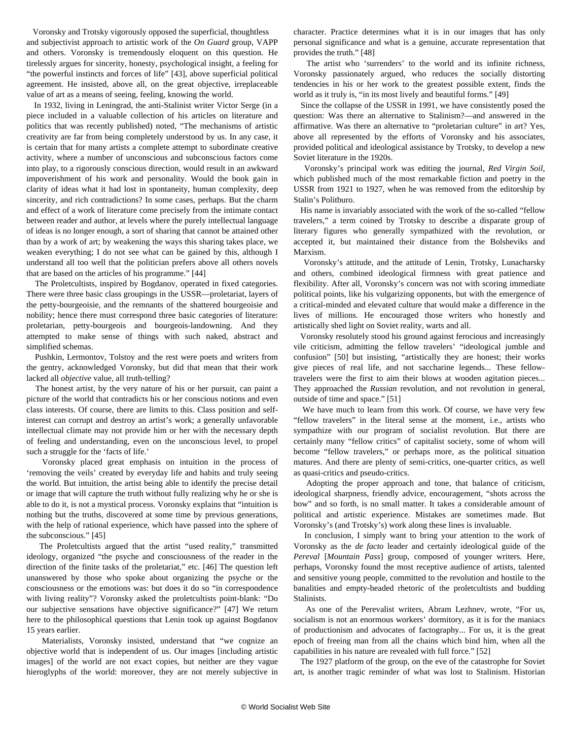Voronsky and Trotsky vigorously opposed the superficial, thoughtless and subjectivist approach to artistic work of the *On Guard* group, VAPP and others. Voronsky is tremendously eloquent on this question. He tirelessly argues for sincerity, honesty, psychological insight, a feeling for "the powerful instincts and forces of life" [43], above superficial political agreement. He insisted, above all, on the great objective, irreplaceable value of art as a means of seeing, feeling, knowing the world.

 In 1932, living in Leningrad, the anti-Stalinist writer Victor Serge (in a piece included in a valuable collection of his articles on literature and politics that was recently published) noted, "The mechanisms of artistic creativity are far from being completely understood by us. In any case, it is certain that for many artists a complete attempt to subordinate creative activity, where a number of unconscious and subconscious factors come into play, to a rigorously conscious direction, would result in an awkward impoverishment of his work and personality. Would the book gain in clarity of ideas what it had lost in spontaneity, human complexity, deep sincerity, and rich contradictions? In some cases, perhaps. But the charm and effect of a work of literature come precisely from the intimate contact between reader and author, at levels where the purely intellectual language of ideas is no longer enough, a sort of sharing that cannot be attained other than by a work of art; by weakening the ways this sharing takes place, we weaken everything; I do not see what can be gained by this, although I understand all too well that the politician prefers above all others novels that are based on the articles of his programme." [44]

 The Proletcultists, inspired by Bogdanov, operated in fixed categories. There were three basic class groupings in the USSR—proletariat, layers of the petty-bourgeoisie, and the remnants of the shattered bourgeoisie and nobility; hence there must correspond three basic categories of literature: proletarian, petty-bourgeois and bourgeois-landowning. And they attempted to make sense of things with such naked, abstract and simplified schemas.

 Pushkin, Lermontov, Tolstoy and the rest were poets and writers from the gentry, acknowledged Voronsky, but did that mean that their work lacked all *objective* value, all truth-telling?

 The honest artist, by the very nature of his or her pursuit, can paint a picture of the world that contradicts his or her conscious notions and even class interests. Of course, there are limits to this. Class position and selfinterest can corrupt and destroy an artist's work; a generally unfavorable intellectual climate may not provide him or her with the necessary depth of feeling and understanding, even on the unconscious level, to propel such a struggle for the 'facts of life.'

 Voronsky placed great emphasis on intuition in the process of 'removing the veils' created by everyday life and habits and truly seeing the world. But intuition, the artist being able to identify the precise detail or image that will capture the truth without fully realizing why he or she is able to do it, is not a mystical process. Voronsky explains that "intuition is nothing but the truths, discovered at some time by previous generations, with the help of rational experience, which have passed into the sphere of the subconscious." [45]

 The Proletcultists argued that the artist "used reality," transmitted ideology, organized "the psyche and consciousness of the reader in the direction of the finite tasks of the proletariat," etc. [46] The question left unanswered by those who spoke about organizing the psyche or the consciousness or the emotions was: but does it do so "in correspondence with living reality"? Voronsky asked the proletcultists point-blank: "Do our subjective sensations have objective significance?" [47] We return here to the philosophical questions that Lenin took up against Bogdanov 15 years earlier.

 Materialists, Voronsky insisted, understand that "we cognize an objective world that is independent of us. Our images [including artistic images] of the world are not exact copies, but neither are they vague hieroglyphs of the world: moreover, they are not merely subjective in

character. Practice determines what it is in our images that has only personal significance and what is a genuine, accurate representation that provides the truth." [48]

 The artist who 'surrenders' to the world and its infinite richness, Voronsky passionately argued, who reduces the socially distorting tendencies in his or her work to the greatest possible extent, finds the world as it truly is, "in its most lively and beautiful forms." [49]

 Since the collapse of the USSR in 1991, we have consistently posed the question: Was there an alternative to Stalinism?—and answered in the affirmative. Was there an alternative to "proletarian culture" in art? Yes, above all represented by the efforts of Voronsky and his associates, provided political and ideological assistance by Trotsky, to develop a new Soviet literature in the 1920s.

 Voronsky's principal work was editing the journal, *Red Virgin Soil*, which published much of the most remarkable fiction and poetry in the USSR from 1921 to 1927, when he was removed from the editorship by Stalin's Politburo.

 His name is invariably associated with the work of the so-called "fellow travelers," a term coined by Trotsky to describe a disparate group of literary figures who generally sympathized with the revolution, or accepted it, but maintained their distance from the Bolsheviks and Marxism.

 Voronsky's attitude, and the attitude of Lenin, Trotsky, Lunacharsky and others, combined ideological firmness with great patience and flexibility. After all, Voronsky's concern was not with scoring immediate political points, like his vulgarizing opponents, but with the emergence of a critical-minded and elevated culture that would make a difference in the lives of millions. He encouraged those writers who honestly and artistically shed light on Soviet reality, warts and all.

 Voronsky resolutely stood his ground against ferocious and increasingly vile criticism, admitting the fellow travelers' "ideological jumble and confusion" [50] but insisting, "artistically they are honest; their works give pieces of real life, and not saccharine legends... These fellowtravelers were the first to aim their blows at wooden agitation pieces... They approached the *Russian* revolution, and not revolution in general, outside of time and space." [51]

 We have much to learn from this work. Of course, we have very few "fellow travelers" in the literal sense at the moment, i.e., artists who sympathize with our program of socialist revolution. But there are certainly many "fellow critics" of capitalist society, some of whom will become "fellow travelers," or perhaps more, as the political situation matures. And there are plenty of semi-critics, one-quarter critics, as well as quasi-critics and pseudo-critics.

 Adopting the proper approach and tone, that balance of criticism, ideological sharpness, friendly advice, encouragement, "shots across the bow" and so forth, is no small matter. It takes a considerable amount of political and artistic experience. Mistakes are sometimes made. But Voronsky's (and Trotsky's) work along these lines is invaluable.

 In conclusion, I simply want to bring your attention to the work of Voronsky as the *de facto* leader and certainly ideological guide of the *Pereval* [*Mountain Pass*] group, composed of younger writers. Here, perhaps, Voronsky found the most receptive audience of artists, talented and sensitive young people, committed to the revolution and hostile to the banalities and empty-headed rhetoric of the proletcultists and budding **Stalinists** 

 As one of the Perevalist writers, Abram Lezhnev, wrote, "For us, socialism is not an enormous workers' dormitory, as it is for the maniacs of productionism and advocates of factography... For us, it is the great epoch of freeing man from all the chains which bind him, when all the capabilities in his nature are revealed with full force." [52]

 The 1927 platform of the group, on the eve of the catastrophe for Soviet art, is another tragic reminder of what was lost to Stalinism. Historian